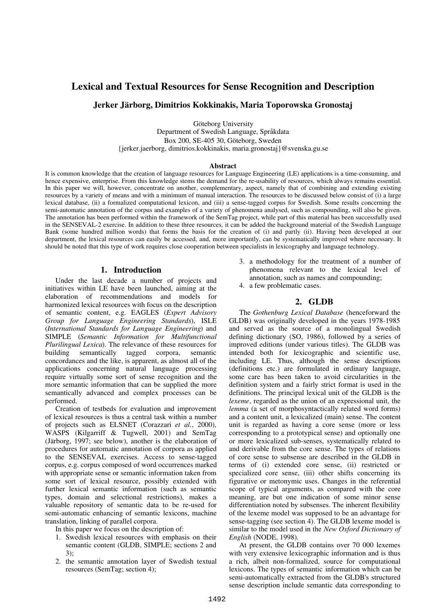# **Lexical and Textual Resources for Sense Recognition and Description**

# **Jerker Järborg, Dimitrios Kokkinakis, Maria Toporowska Gronostaj**

Göteborg University

Department of Swedish Language, Språkdata Box 200, SE-405 30, Göteborg, Sweden {jerker.jaerborg, dimitrios.kokkinakis, [maria.gronostaj}@svenska.gu.se](mailto:maria.gronostaj}@svenska.gu.se)

#### **Abstract**

It is common knowledge that the creation of language resources for Language Engineering (LE) applications is a time-consuming, and hence expensive, enterprise. From this knowledge stems the demand for the re-usability of resources, which always remains essential. In this paper we will, however, concentrate on another, complementary, aspect, namely that of combining and extending existing resources by a variety of means and with a minimum of manual interaction. The resources to be discussed below consist of (i) a large lexical database, (ii) a formalized computational lexicon, and (iii) a sense-tagged corpus for Swedish. Some results concerning the semi-automatic annotation of the corpus and examples of a variety of phenomena analysed, such as compounding, will also be given. The annotation has been performed within the framework of the SemTag project, while part of this material has been successfully used in the SENSEVAL-2 exercise. In addition to these three resources, it can be added the background material of the Swedish Language Bank (some hundred million words) that forms the basis for the creation of (i) and partly (ii). Having been developed at our department, the lexical resources can easily be accessed, and, more importantly, can be systematically improved where necessary. It should be noted that this type of work requires close cooperation between specialists in lexicography and language technology.

#### **1. Introduction**

Under the last decade a number of projects and initiatives within LE have been launched, aiming at the elaboration of recommendations and models for harmonized lexical resources with focus on the description of semantic content, e.g. EAGLES (*Expert Advisory Group for Language Engineering Standards*), ISLE (*International Standards for Language Engineering*) and SIMPLE (*Semantic Information for Multifunctional Plurilingual Lexica*). The relevance of these resources for building semantically tagged corpora, semantic concordances and the like, is apparent, as almost all of the applications concerning natural language processing require virtually some sort of sense recognition and the more semantic information that can be supplied the more semantically advanced and complex processes can be performed.

Creation of testbeds for evaluation and improvement of lexical resources is thus a central task within a number of projects such as ELSNET (Corazzari *et al.*, 2000), WASPS (Kilgarriff & Tugwell, 2001) and SemTag (Järborg, 1997; see below), another is the elaboration of procedures for automatic annotation of corpora as applied to the SENSEVAL exercises. Access to sense-tagged corpus, e.g. corpus composed of word occurrences marked with appropriate sense or semantic information taken from some sort of lexical resource, possibly extended with further lexical semantic information (such as semantic types, domain and selectional restrictions), makes a valuable repository of semantic data to be re-used for semi-automatic enhancing of semantic lexicons, machine translation, linking of parallel corpora.

In this paper we focus on the description of:

- 1. Swedish lexical resources with emphasis on their semantic content (GLDB, SIMPLE; sections 2 and 3);
- 2. the semantic annotation layer of Swedish textual resources (SemTag; section 4);
- 3. a methodology for the treatment of a number of phenomena relevant to the lexical level of annotation, such as names and compounding;
- 4. a few problematic cases.

### **2. GLDB**

The *Gothenburg Lexical Database* (henceforward the GLDB) was originally developed in the years 1978-1985 and served as the source of a monolingual Swedish defining dictionary (SO, 1986), followed by a series of improved editions (under various titles). The GLDB was intended both for lexicographic and scientific use, including LE. Thus, although the sense descriptions (definitions etc.) are formulated in ordinary language, some care has been taken to avoid circularities in the definition system and a fairly strict format is used in the definitions. The principal lexical unit of the GLDB is the *lexeme*, regarded as the union of an expressional unit, the *lemma* (a set of morphosyntactically related word forms) and a content unit, a lexicalized (main) sense. The content unit is regarded as having a core sense (more or less corresponding to a prototypical sense) and optionally one or more lexicalized sub-senses, systematically related to and derivable from the core sense. The types of relations of core sense to subsense are described in the GLDB in terms of (i) extended core sense, (ii) restricted or specialized core sense, (iii) other shifts concerning its figurative or metonymic uses. Changes in the referential scope of typical arguments, as compared with the core meaning, are but one indication of some minor sense differentiation noted by subsenses. The inherent flexibility of the lexeme model was supposed to be an advantage for sense-tagging (see section 4). The GLDB lexeme model is similar to the model used in the *New Oxford Dictionary of English* (NODE, 1998).

At present, the GLDB contains over 70 000 lexemes with very extensive lexicographic information and is thus a rich, albeit non-formalized, source for computational lexicons. The types of semantic information which can be semi-automatically extracted from the GLDB's structured sense description include semantic data corresponding to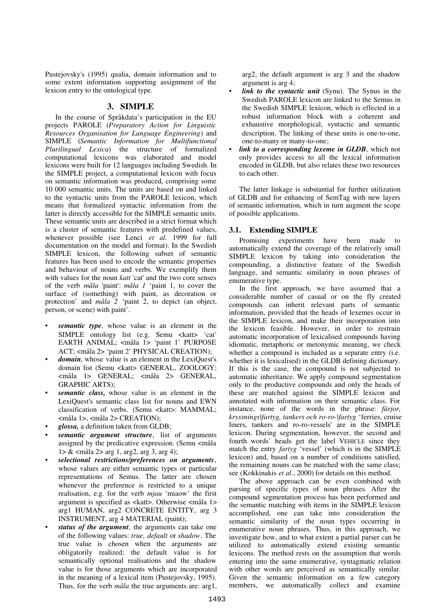Pustejovsky's (1995) qualia, domain information and to some extent information supporting assignment of the lexicon entry to the ontological type.

### **3. SIMPLE**

In the course of Språkdata's participation in the EU projects PAROLE (*Preparatory Action for Linguistic Resources Organisation for Language Engineering*) and SIMPLE (*Semantic Information for Multifunctional Plurilingual Lexica*) the structure of formalized computational lexicons was elaborated and model lexicons were built for 12 languages including Swedish. In the SIMPLE project, a computational lexicon with focus on semantic information was produced, comprising some 10 000 semantic units. The units are based on and linked to the syntactic units from the PAROLE lexicon, which means that formalized syntactic information from the latter is directly accessible for the SIMPLE semantic units. These semantic units are described in a strict format which is a cluster of semantic features with predefined values, whenever possible (see Lenci *et al.* 1999 for full documentation on the model and format). In the Swedish SIMPLE lexicon, the following subset of semantic features has been used to encode the semantic properties and behaviour of nouns and verbs. We exemplify them with values for the noun *katt* 'cat' and the two core senses of the verb *måla* 'paint': *måla 1* 'paint 1, to cover the surface of (something) with paint, as decoration or protection' and *måla 2* 'paint 2, to depict (an object, person, or scene) with paint'.

- semantic type, whose value is an element in the SIMPLE ontology list (e.g. Semu <katt> 'cat' EARTH ANIMAL; <måla 1> 'paint 1' PURPOSE ACT; <måla 2> 'paint 2' PHYSICAL CREATION);
- *domain*, whose value is an element in the LexiQuest's domain list (Semu <katt> GENERAL, ZOOLOGY; <måla 1> GENERAL; <måla 2> GENERAL, GRAPHIC ARTS);
- semantic class, whose value is an element in the LexiQuest's semantic class list for nouns and EWN classification of verbs. (Semu <katt>: MAMMAL; <måla 1>, <måla 2> CREATION);
- *glossa,* a definition taken from GLDB;
- semantic argument structure, list of arguments assigned by the predicative expression. (Semu <måla  $1 > \&$  <måla 2> arg 1, arg 2, arg 3, arg 4);
- *selectional restrictions/preferences on arguments*, whose values are either semantic types or particular representations of Semus. The latter are chosen whenever the preference is restricted to a unique realisation, e.g. for the verb *mjau* 'miaow' the first argument is specified as <katt>. Otherwise <måla 1> arg1 HUMAN, arg2 CONCRETE ENTITY, arg 3 INSTRUMENT, arg 4 MATERIAL (paint);
- *status of the argument,* the arguments can take one of the following values: *true*, *default* or *shadow*. The true value is chosen when the arguments are obligatorily realized; the default value is for semantically optional realisations and the shadow value is for those arguments which are incorporated in the meaning of a lexical item (Pustejovsky, 1995). Thus, for the verb *måla* the true arguments are: arg1,

arg2, the default argument is arg 3 and the shadow argument is arg 4;

- *link to the syntactic unit* (Synu). The Synus in the Swedish PAROLE lexicon are linked to the Semus in the Swedish SIMPLE lexicon, which is effected in a robust information block with a coherent and exhaustive morphological, syntactic and semantic description. The linking of these units is one-to-one, one-to-many or many-to-one;
- *link to a corresponding lexeme in GLDB*, which not only provides access to all the lexical information encoded in GLDB, but also relates these two resources to each other.

The latter linkage is substantial for further utilization of GLDB and for enhancing of SemTag with new layers of semantic information, which in turn augment the scope of possible applications.

### **3.1. Extending SIMPLE**

Promising experiments have been made to automatically extend the coverage of the relatively small SIMPLE lexicon by taking into consideration the compounding, a distinctive feature of the Swedish language, and semantic similarity in noun phrases of enumerative type.

In the first approach, we have assumed that a considerable number of casual or on the fly created compounds can inherit relevant parts of semantic information, provided that the heads of lexemes occur in the SIMPLE lexicon, and make their incorporation into the lexicon feasible. However, in order to restrain automatic incorporation of lexicalised compounds having idiomatic, metaphoric or metonymic meaning, we check whether a compound is included as a separate entry (i.e. whether it is lexicalised) in the GLDB defining dictionary. If this is the case, the compound is not subjected to automatic inheritance. We apply compound segmentation only to the productive compounds and only the heads of these are matched against the SIMPLE lexicon and annotated with information on their semantic class. For instance, none of the words in the phrase: *färjor, kryssnings|fartyg, tankers och ro-ro-|fartyg* 'ferries, cruise liners, tankers and ro-ro-vessels' are in the SIMPLE lexicon. During segmentation, however, the second and fourth words' heads get the label VEHICLE since they match the entry *fartyg* 'vessel' (which is in the SIMPLE lexicon) and, based on a number of conditions satisfied, the remaining nouns can be matched with the same class; see (Kokkinakis *et al.*, 2000) for details on this method.

The above approach can be even combined with parsing of specific types of noun phrases. After the compound segmentation process has been performed and the semantic matching with items in the SIMPLE lexicon accomplished, one can take into consideration the semantic similarity of the noun types occurring in enumerative noun phrases. Thus, in this approach, we investigate how, and to what extent a partial parser can be utilized to automatically extend existing semantic lexicons. The method rests on the assumption that words entering into the same enumerative, syntagmatic relation with other words are perceived as semantically similar. Given the semantic information on a few category members, we automatically collect and examine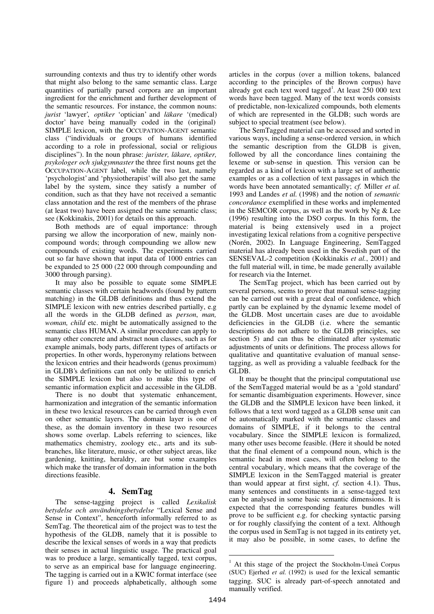surrounding contexts and thus try to identify other words that might also belong to the same semantic class. Large quantities of partially parsed corpora are an important ingredient for the enrichment and further development of the semantic resources. For instance, the common nouns: *jurist* 'lawyer', *optiker* 'optician' and *läkare* '(medical) doctor' have being manually coded in the (original) SIMPLE lexicon, with the OCCUPATION-AGENT semantic class ("individuals or groups of humans identified according to a role in professional, social or religious disciplines"). In the noun phrase: *jurister, läkare, optiker, psykologer och sjukgymnaster* the three first nouns get the OCCUPATION-AGENT label, while the two last, namely 'psychologist' and 'physiotherapist' will also get the same label by the system, since they satisfy a number of condition, such as that they have not received a semantic class annotation and the rest of the members of the phrase (at least two) have been assigned the same semantic class; see (Kokkinakis, 2001) for details on this approach.

Both methods are of equal importance: through parsing we allow the incorporation of new, mainly noncompound words; through compounding we allow new compounds of existing words. The experiments carried out so far have shown that input data of 1000 entries can be expanded to 25 000 (22 000 through compounding and 3000 through parsing).

It may also be possible to equate some SIMPLE semantic classes with certain headwords (found by pattern matching) in the GLDB definitions and thus extend the SIMPLE lexicon with new entries described partially, e.g all the words in the GLDB defined as *person*, *man, woman, child* etc. might be automatically assigned to the semantic class HUMAN. A similar procedure can apply to many other concrete and abstract noun classes, such as for example animals, body parts, different types of artifacts or properties. In other words, hyperonymy relations between the lexicon entries and their headwords (genus proximum) in GLDB's definitions can not only be utilized to enrich the SIMPLE lexicon but also to make this type of semantic information explicit and accessible in the GLDB.

There is no doubt that systematic enhancement, harmonization and integration of the semantic information in these two lexical resources can be carried through even on other semantic layers. The domain layer is one of these, as the domain inventory in these two resources shows some overlap. Labels referring to sciences, like mathematics chemistry, zoology etc., arts and its subbranches, like literature, music, or other subject areas, like gardening, knitting, heraldry, are but some examples which make the transfer of domain information in the both directions feasible.

# **4. SemTag**

The sense-tagging project is called *Lexikalisk betydelse och användningsbetydelse* "Lexical Sense and Sense in Context", henceforth informally referred to as SemTag. The theoretical aim of the project was to test the hypothesis of the GLDB, namely that it is possible to describe the lexical senses of words in a way that predicts their senses in actual linguistic usage. The practical goal was to produce a large, semantically tagged, text corpus, to serve as an empirical base for language engineering. The tagging is carried out in a KWIC format interface (see figure 1) and proceeds alphabetically, although some

articles in the corpus (over a million tokens, balanced according to the principles of the Brown corpus) have already got each text word tagged<sup>1</sup>. At least  $250000$  text words have been tagged. Many of the text words consists of predictable, non-lexicalized compounds, both elements of which are represented in the GLDB; such words are subject to special treatment (see below).

The SemTagged material can be accessed and sorted in various ways, including a sense-ordered version, in which the semantic description from the GLDB is given, followed by all the concordance lines containing the lexeme or sub-sense in question. This version can be regarded as a kind of lexicon with a large set of authentic examples or as a collection of text passages in which the words have been annotated semantically; *cf.* Miller *et al.* 1993 and Landes *et al.* (1998) and the notion of *semantic concordance* exemplified in these works and implemented in the SEMCOR corpus, as well as the work by Ng & Lee (1996) resulting into the DSO corpus. In this form, the material is being extensively used in a project investigating lexical relations from a cognitive perspective (Norén, 2002). In Language Engineering, SemTagged material has already been used in the Swedish part of the SENSEVAL-2 competition (Kokkinakis *et al.*, 2001) and the full material will, in time, be made generally available for research via the Internet.

The SemTag project, which has been carried out by several persons, seems to prove that manual sense-tagging can be carried out with a great deal of confidence, which partly can be explained by the dynamic lexeme model of the GLDB. Most uncertain cases are due to avoidable deficiencies in the GLDB (i.e. where the semantic descriptions do not adhere to the GLDB principles, see section 5) and can thus be eliminated after systematic adjustments of units or definitions. The process allows for qualitative and quantitative evaluation of manual sensetagging, as well as providing a valuable feedback for the GLDB.

It may be thought that the principal computational use of the SemTagged material would be as a 'gold standard' for semantic disambiguation experiments. However, since the GLDB and the SIMPLE lexicon have been linked, it follows that a text word tagged as a GLDB sense unit can be automatically marked with the semantic classes and domains of SIMPLE, if it belongs to the central vocabulary. Since the SIMPLE lexicon is formalized, many other uses become feasible. (Here it should be noted that the final element of a compound noun, which is the semantic head in most cases, will often belong to the central vocabulary, which means that the coverage of the SIMPLE lexicon in the SemTagged material is greater than would appear at first sight, *cf.* section 4.1). Thus, many sentences and constituents in a sense-tagged text can be analysed in some basic semantic dimensions. It is expected that the corresponding features bundles will prove to be sufficient e.g. for checking syntactic parsing or for roughly classifying the content of a text. Although the corpus used in SemTag is not tagged in its entirety yet, it may also be possible, in some cases, to define the

 $\overline{a}$ 

<sup>1</sup> At this stage of the project the Stockholm-Umeå Corpus (SUC) Ejerhed *et al.* (1992) is used for the lexical semantic tagging. SUC is already part-of-speech annotated and manually verified.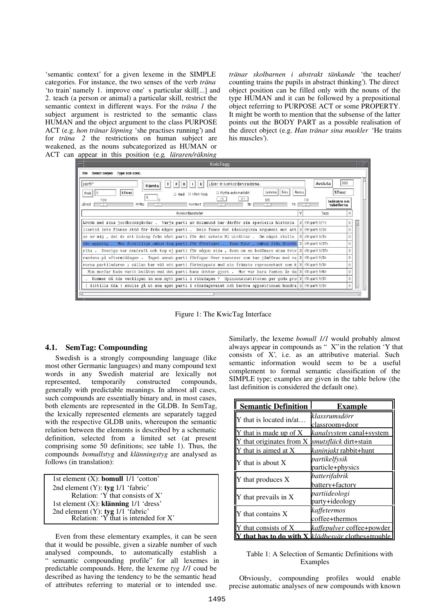'semantic context' for a given lexeme in the SIMPLE categories. For instance, the two senses of the verb *träna* 'to train' namely 1. improve one's particular skill[...] and 2. teach (a person or animal) a particular skill, restrict the semantic context in different ways. For the *träna 1* the subject argument is restricted to the semantic class HUMAN and the object argument to the class PURPOSE ACT (e.g. *hon tränar löpning* 'she practises running') and for *träna 2* the restrictions on human subject are weakened, as the nouns subcategorized as HUMAN or ACT can appear in this position (e.g*. läraren/räkning*

*tränar skolbarnen i abstrakt tänkande* 'the teacher/ counting trains the pupils in abstract thinking'). The direct object position can be filled only with the nouns of the type HUMAN and it can be followed by a prepositional object referring to PURPOSE ACT or some PROPERTY. It might be worth to mention that the subsense of the latter points out the BODY PART as a possible realisation of the direct object (e.g. *Han tränar sina muskler* 'He trains his muscles').



Figure 1: The KwicTag Interface

### **4.1. SemTag: Compounding**

Swedish is a strongly compounding language (like most other Germanic languages) and many compound text words in any Swedish material are lexically not represented, temporarily constructed compounds, generally with predictable meanings. In almost all cases, such compounds are essentially binary and, in most cases, both elements are represented in the GLDB. In SemTag, the lexically represented elements are separately tagged with the respective GLDB units, whereupon the semantic relation between the elements is described by a schematic definition, selected from a limited set (at present comprising some 50 definitions; see table 1). Thus, the compounds *bomullstyg* and *klänningstyg* are analysed as follows (in translation):

| 1st element $(X)$ : <b>bomull</b> $1/1$ 'cotton'                               |  |
|--------------------------------------------------------------------------------|--|
| 2nd element $(Y)$ : tyg $1/1$ 'fabric'                                         |  |
| Relation: 'Y that consists of X'                                               |  |
| 1st element $(X)$ : klänning $1/1$ 'dress'                                     |  |
| 2nd element $(Y)$ : tyg $1/1$ 'fabric'<br>Relation: 'Y that is intended for X' |  |
|                                                                                |  |

Even from these elementary examples, it can be seen that it would be possible, given a sizable number of such analysed compounds, to automatically establish a "semantic compounding profile" for all lexemes in predictable compounds. Here, the lexeme *tyg 1/1* coud be described as having the tendency to be the semantic head of attributes referring to material or to intended use.

Similarly, the lexeme *bomull 1/1* would probably almost always appear in compounds as "X" in the relation 'Y that consists of X', i.e. as an attributive material. Such semantic information would seem to be a useful complement to formal semantic classification of the SIMPLE type; examples are given in the table below (the last definition is considered the default one).

| <b>Semantic Definition</b> | Example                           |
|----------------------------|-----------------------------------|
| Y that is located in/at    | klassrumsdörr<br>classroom+door   |
| Y that is made up of X     | kanalsystem canal+system          |
| that originates from X     | <i>smutsfläck</i> dirt+stain      |
| Y that is aimed at X       | <i>kaninjakt</i> rabbit+hunt      |
| $Y$ that is about $X$      | partikelfysik<br>particle+physics |
| Y that produces X          | batterifabrik<br>battery+factory  |
| Y that prevails in X       | partiideologi<br>party+ideology   |
| Y that contains X          | kaffetermos<br>coffee+thermos     |
| Y that consists of X       | <i>kaffepulver</i> coffee+powder  |
| that has to do with        | klädbesvär clothes+trouble        |

#### Table 1: A Selection of Semantic Definitions with Examples

Obviously, compounding profiles would enable precise automatic analyses of new compounds with known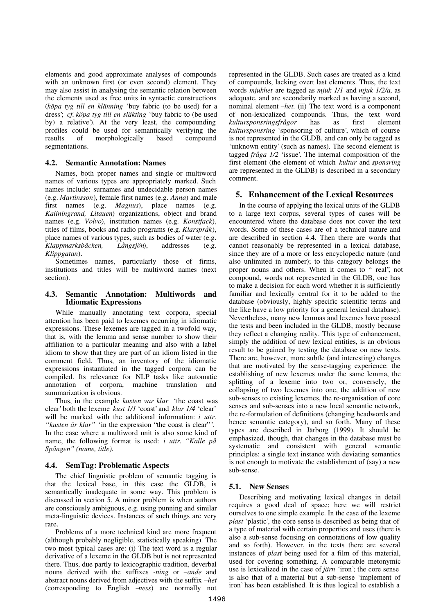elements and good approximate analyses of compounds with an unknown first (or even second) element. They may also assist in analysing the semantic relation between the elements used as free units in syntactic constructions (*köpa tyg till en klänning* 'buy fabric (to be used) for a dress'; *cf*. *köpa tyg till en släkting* 'buy fabric to (be used by) a relative'). At the very least, the compounding profiles could be used for semantically verifying the results of morphologically based compound segmentations.

### **4.2. Semantic Annotation: Names**

Names, both proper names and single or multiword names of various types are appropriately marked. Such names include: surnames and undecidable person names (e.g. *Martinsson*), female first names (e.g. *Anna*) and male first names (e.g. *Magnus*), place names (e.g. *Kaliningrand, Litauen*) organizations, object and brand names (e.g. *Volvo*), institution names (e.g. *Konstfack*), titles of films, books and radio programs (e.g. *Klarspråk*), place names of various types, such as bodies of water (e.g. *Klappmarksbäcken, Långsjön*), addresses (e.g. *Klippgatan*).

Sometimes names, particularly those of firms, institutions and titles will be multiword names (next section).

### **4.3. Semantic Annotation: Multiwords and Idiomatic Expressions**

While manually annotating text corpora, special attention has been paid to lexemes occurring in idiomatic expressions. These lexemes are tagged in a twofold way, that is, with the lemma and sense number to show their affiliation to a particular meaning and also with a label idiom to show that they are part of an idiom listed in the comment field. Thus, an inventory of the idiomatic expressions instantiated in the tagged corpora can be compiled. Its relevance for NLP tasks like automatic annotation of corpora, machine translation and summarization is obvious.

Thus, in the example *kusten var klar* 'the coast was clear' both the lexeme *kust 1/1* 'coast' and *klar 1/4* 'clear' will be marked with the additional information: *i uttr. "kusten är klar"* 'in the expression "the coast is clear" '. In the case where a multiword unit is also some kind of name, the following format is used: *i uttr. "Kalle på Spången" (name, title)*.

# **4.4. SemTag: Problematic Aspects**

The chief linguistic problem of semantic tagging is that the lexical base, in this case the GLDB, is semantically inadequate in some way. This problem is discussed in section 5. A minor problem is when authors are consciously ambiguous, e.g. using punning and similar meta-linguistic devices. Instances of such things are very rare.

Problems of a more technical kind are more frequent (although probably negligible, statistically speaking). The two most typical cases are: (i) The text word is a regular derivative of a lexeme in the GLDB but is not represented there. Thus, due partly to lexicographic tradition, deverbal nouns derived with the suffixes *-ning* or *–ande* and abstract nouns derived from adjectives with the suffix *–het* (corresponding to English –*ness*) are normally not

represented in the GLDB. Such cases are treated as a kind of compounds, lacking overt last elements. Thus, the text words *mjukhet* are tagged as *mjuk 1/1* and *mjuk 1/2/a*, as adequate, and are secondarily marked as having a second, nominal element *–het*. (ii) The text word is a component of non-lexicalized compounds. Thus, the text word *kultursponsringsfrågor* has as first element *kultursponsring* 'sponsoring of culture', which of course is not represented in the GLDB, and can only be tagged as 'unknown entity' (such as names). The second element is tagged *fråga 1/2* 'issue'. The internal composition of the first element (the element of which *kultur* and *sponsring* are represented in the GLDB) is described in a secondary comment.

# **5. Enhancement of the Lexical Resources**

In the course of applying the lexical units of the GLDB to a large text corpus, several types of cases will be encountered where the database does not cover the text words. Some of these cases are of a technical nature and are described in section 4.4. Then there are words that cannot reasonably be represented in a lexical database, since they are of a more or less encyclopedic nature (and also unlimited in number); to this category belongs the proper nouns and others. When it comes to "real", not compound, words not represented in the GLDB, one has to make a decision for each word whether it is sufficiently familiar and lexically central for it to be added to the database (obviously, highly specific scientific terms and the like have a low priority for a general lexical database). Nevertheless, many new lemmas and lexemes have passed the tests and been included in the GLDB, mostly because they reflect a changing reality. This type of enhancement, simply the addition of new lexical entities, is an obvious result to be gained by testing the database on new texts. There are, however, more subtle (and interesting) changes that are motivated by the sense-tagging experience: the establishing of new lexemes under the same lemma, the splitting of a lexeme into two or, conversely, the collapsing of two lexemes into one, the addition of new sub-senses to existing lexemes, the re-organisation of core senses and sub-senses into a new local semantic network, the re-formulation of definitions (changing headwords and hence semantic category), and so forth. Many of these types are described in Järborg (1999). It should be emphasized, though, that changes in the database must be systematic and consistent with general semantic principles: a single text instance with deviating semantics is not enough to motivate the establishment of (say) a new sub-sense.

# **5.1. New Senses**

Describing and motivating lexical changes in detail requires a good deal of space; here we will restrict ourselves to one simple example. In the case of the lexeme *plast* 'plastic', the core sense is described as being that of a type of material with certain properties and uses (there is also a sub-sense focusing on connotations of low quality and so forth). However, in the texts there are several instances of *plast* being used for a film of this material, used for covering something. A comparable metonymic use is lexicalized in the case of *järn* 'iron'; the core sense is also that of a material but a sub-sense 'implement of iron' has been established. It is thus logical to establish a